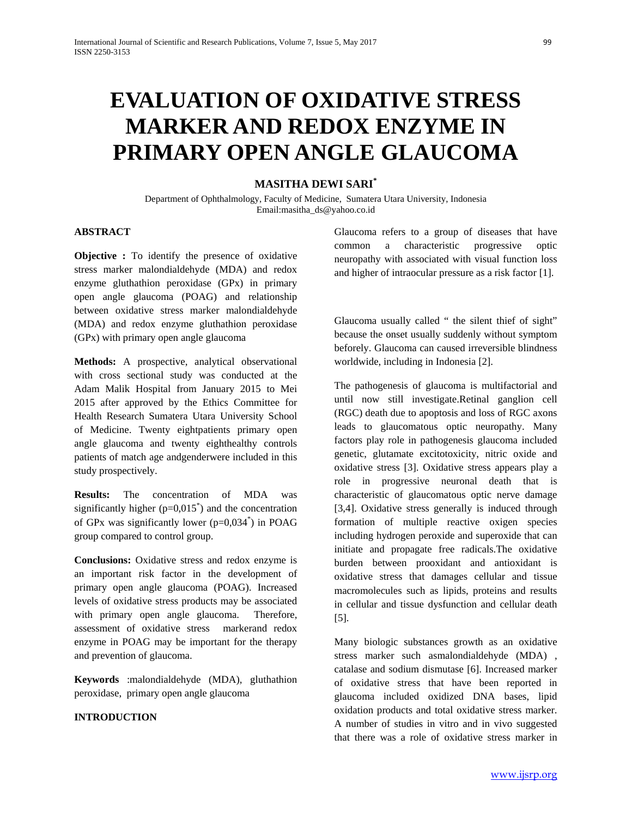# **EVALUATION OF OXIDATIVE STRESS MARKER AND REDOX ENZYME IN PRIMARY OPEN ANGLE GLAUCOMA**

# **MASITHA DEWI SARI\***

Department of Ophthalmology, Faculty of Medicine, Sumatera Utara University, Indonesia Email:masitha\_ds@yahoo.co.id

## **ABSTRACT**

**Objective :** To identify the presence of oxidative stress marker malondialdehyde (MDA) and redox enzyme gluthathion peroxidase (GPx) in primary open angle glaucoma (POAG) and relationship between oxidative stress marker malondialdehyde (MDA) and redox enzyme gluthathion peroxidase (GPx) with primary open angle glaucoma

**Methods:** A prospective, analytical observational with cross sectional study was conducted at the Adam Malik Hospital from January 2015 to Mei 2015 after approved by the Ethics Committee for Health Research Sumatera Utara University School of Medicine. Twenty eightpatients primary open angle glaucoma and twenty eighthealthy controls patients of match age andgenderwere included in this study prospectively.

**Results:** The concentration of MDA was significantly higher  $(p=0,015^*)$  and the concentration of GPx was significantly lower (p=0,034\* ) in POAG group compared to control group.

**Conclusions:** Oxidative stress and redox enzyme is an important risk factor in the development of primary open angle glaucoma (POAG). Increased levels of oxidative stress products may be associated with primary open angle glaucoma. Therefore, assessment of oxidative stress markerand redox enzyme in POAG may be important for the therapy and prevention of glaucoma.

**Keywords** :malondialdehyde (MDA), gluthathion peroxidase, primary open angle glaucoma

#### **INTRODUCTION**

Glaucoma refers to a group of diseases that have common a characteristic progressive optic neuropathy with associated with visual function loss and higher of intraocular pressure as a risk factor [1].

Glaucoma usually called " the silent thief of sight" because the onset usually suddenly without symptom beforely. Glaucoma can caused irreversible blindness worldwide, including in Indonesia [2].

The pathogenesis of glaucoma is multifactorial and until now still investigate.Retinal ganglion cell (RGC) death due to apoptosis and loss of RGC axons leads to glaucomatous optic neuropathy. Many factors play role in pathogenesis glaucoma included genetic, glutamate excitotoxicity, nitric oxide and oxidative stress [3]. Oxidative stress appears play a role in progressive neuronal death that is characteristic of glaucomatous optic nerve damage [3,4]. Oxidative stress generally is induced through formation of multiple reactive oxigen species including hydrogen peroxide and superoxide that can initiate and propagate free radicals.The oxidative burden between prooxidant and antioxidant is oxidative stress that damages cellular and tissue macromolecules such as lipids, proteins and results in cellular and tissue dysfunction and cellular death [5].

Many biologic substances growth as an oxidative stress marker such asmalondialdehyde (MDA) , catalase and sodium dismutase [6]. Increased marker of oxidative stress that have been reported in glaucoma included oxidized DNA bases, lipid oxidation products and total oxidative stress marker. A number of studies in vitro and in vivo suggested that there was a role of oxidative stress marker in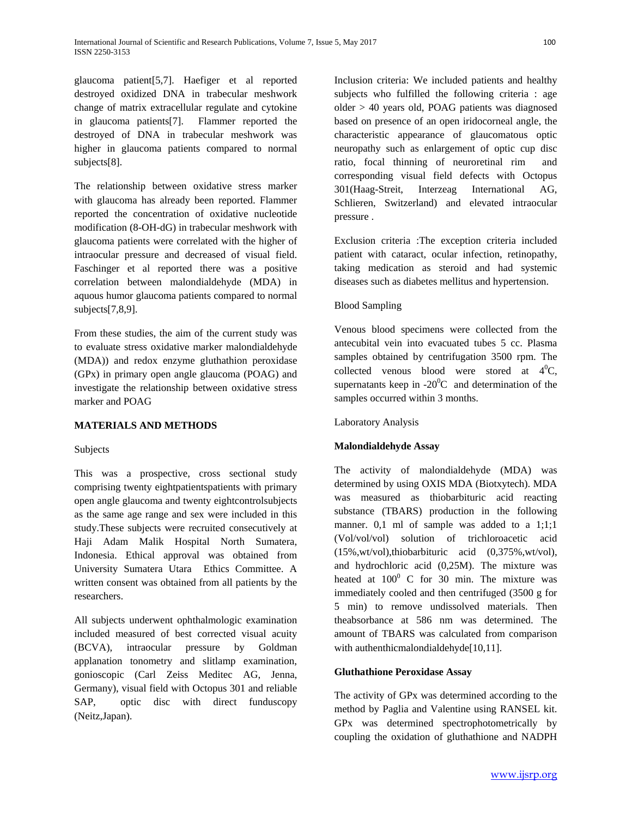glaucoma patient[5,7]. Haefiger et al reported destroyed oxidized DNA in trabecular meshwork change of matrix extracellular regulate and cytokine in glaucoma patients[7]. Flammer reported the destroyed of DNA in trabecular meshwork was higher in glaucoma patients compared to normal subjects[8].

The relationship between oxidative stress marker with glaucoma has already been reported. Flammer reported the concentration of oxidative nucleotide modification (8-OH-dG) in trabecular meshwork with glaucoma patients were correlated with the higher of intraocular pressure and decreased of visual field. Faschinger et al reported there was a positive correlation between malondialdehyde (MDA) in aquous humor glaucoma patients compared to normal subjects[7,8,9].

From these studies, the aim of the current study was to evaluate stress oxidative marker malondialdehyde (MDA)) and redox enzyme gluthathion peroxidase (GPx) in primary open angle glaucoma (POAG) and investigate the relationship between oxidative stress marker and POAG

# **MATERIALS AND METHODS**

#### Subjects

This was a prospective, cross sectional study comprising twenty eightpatientspatients with primary open angle glaucoma and twenty eightcontrolsubjects as the same age range and sex were included in this study.These subjects were recruited consecutively at Haji Adam Malik Hospital North Sumatera, Indonesia. Ethical approval was obtained from University Sumatera Utara Ethics Committee. A written consent was obtained from all patients by the researchers.

All subjects underwent ophthalmologic examination included measured of best corrected visual acuity (BCVA), intraocular pressure by Goldman applanation tonometry and slitlamp examination, gonioscopic (Carl Zeiss Meditec AG, Jenna, Germany), visual field with Octopus 301 and reliable SAP, optic disc with direct funduscopy (Neitz,Japan).

Inclusion criteria: We included patients and healthy subjects who fulfilled the following criteria : age older > 40 years old, POAG patients was diagnosed based on presence of an open iridocorneal angle, the characteristic appearance of glaucomatous optic neuropathy such as enlargement of optic cup disc ratio, focal thinning of neuroretinal rim and corresponding visual field defects with Octopus 301(Haag-Streit, Interzeag International AG, Schlieren, Switzerland) and elevated intraocular pressure .

Exclusion criteria :The exception criteria included patient with cataract, ocular infection, retinopathy, taking medication as steroid and had systemic diseases such as diabetes mellitus and hypertension.

## Blood Sampling

Venous blood specimens were collected from the antecubital vein into evacuated tubes 5 cc. Plasma samples obtained by centrifugation 3500 rpm. The collected venous blood were stored at  $4^0C$ , supernatants keep in  $-20^{\circ}$ C and determination of the samples occurred within 3 months.

#### Laboratory Analysis

# **Malondialdehyde Assay**

The activity of malondialdehyde (MDA) was determined by using OXIS MDA (Biotxytech). MDA was measured as thiobarbituric acid reacting substance (TBARS) production in the following manner. 0,1 ml of sample was added to a 1;1;1 (Vol/vol/vol) solution of trichloroacetic acid (15%,wt/vol),thiobarbituric acid (0,375%,wt/vol), and hydrochloric acid (0,25M). The mixture was heated at  $100^0$  C for 30 min. The mixture was immediately cooled and then centrifuged (3500 g for 5 min) to remove undissolved materials. Then theabsorbance at 586 nm was determined. The amount of TBARS was calculated from comparison with authenthicmalondialdehyde[10,11].

#### **Gluthathione Peroxidase Assay**

The activity of GPx was determined according to the method by Paglia and Valentine using RANSEL kit. GPx was determined spectrophotometrically by coupling the oxidation of gluthathione and NADPH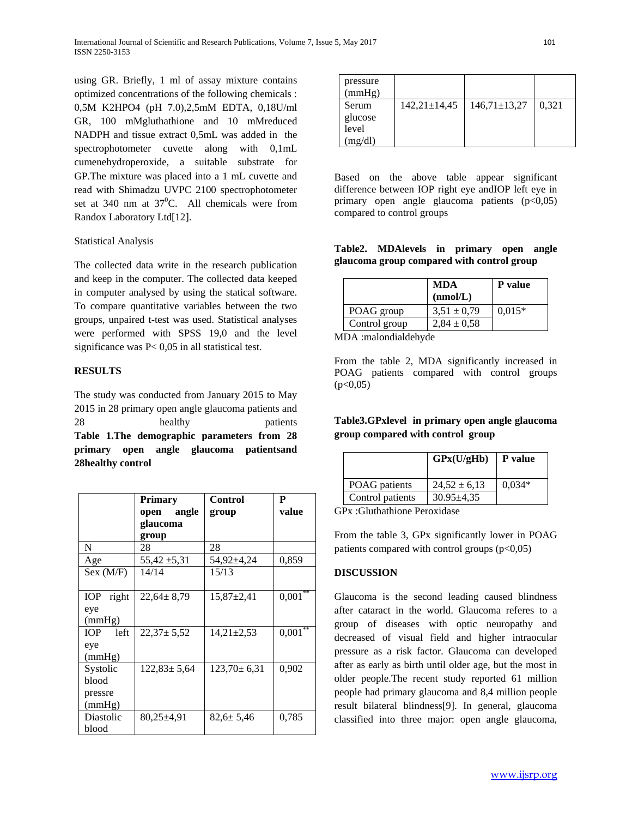using GR. Briefly, 1 ml of assay mixture contains optimized concentrations of the following chemicals : 0,5M K2HPO4 (pH 7.0),2,5mM EDTA, 0,18U/ml GR, 100 mMgluthathione and 10 mMreduced NADPH and tissue extract 0,5mL was added in the spectrophotometer cuvette along with 0,1mL cumenehydroperoxide, a suitable substrate for GP.The mixture was placed into a 1 mL cuvette and read with Shimadzu UVPC 2100 spectrophotometer set at 340 nm at  $37^{\circ}$ C. All chemicals were from Randox Laboratory Ltd[12].

## Statistical Analysis

The collected data write in the research publication and keep in the computer. The collected data keeped in computer analysed by using the statical software. To compare quantitative variables between the two groups, unpaired t-test was used. Statistical analyses were performed with SPSS 19,0 and the level significance was P< 0,05 in all statistical test.

## **RESULTS**

The study was conducted from January 2015 to May 2015 in 28 primary open angle glaucoma patients and 28 healthy patients **Table 1.The demographic parameters from 28 primary open angle glaucoma patientsand 28healthy control**

|                     | Primary           | Control           | P     |
|---------------------|-------------------|-------------------|-------|
|                     | open angle        | group             | value |
|                     | glaucoma          |                   |       |
|                     | group             |                   |       |
| N                   | 28                | 28                |       |
| Age                 | $55,42 \pm 5,31$  | 54,92±4,24        | 0,859 |
| Sex (M/F)           | 14/14             | 15/13             |       |
|                     |                   |                   |       |
| <b>IOP</b><br>right | $22,64 \pm 8,79$  | $15,87\pm2,41$    | 0,001 |
| eye                 |                   |                   |       |
| (mmHg)              |                   |                   |       |
| IOP<br>left         | $22,37 \pm 5,52$  | $14,21 \pm 2,53$  | 0,001 |
| eye                 |                   |                   |       |
| (mmHg)              |                   |                   |       |
| Systolic            | $122,83 \pm 5,64$ | $123,70 \pm 6,31$ | 0,902 |
| blood               |                   |                   |       |
| pressre             |                   |                   |       |
| (mmHg)              |                   |                   |       |
| Diastolic           | 80,25±4,91        | $82.6 \pm 5.46$   | 0,785 |
| blood               |                   |                   |       |

| pressure<br>(mmHg) |                    |                  |       |
|--------------------|--------------------|------------------|-------|
| Serum              | $142,21 \pm 14,45$ | $146,71\pm13,27$ | 0,321 |
| glucose            |                    |                  |       |
| level              |                    |                  |       |
| (mg/dl)            |                    |                  |       |

Based on the above table appear significant difference between IOP right eye andIOP left eye in primary open angle glaucoma patients  $(p<0.05)$ compared to control groups

## **Table2. MDAlevels in primary open angle glaucoma group compared with control group**

|               | <b>MDA</b><br>(mmol/L) | P value  |
|---------------|------------------------|----------|
| POAG group    | $3.51 \pm 0.79$        | $0.015*$ |
| Control group | $2,84 \pm 0.58$        |          |

MDA :malondialdehyde

From the table 2, MDA significantly increased in POAG patients compared with control groups  $(p<0,05)$ 

# **Table3.GPxlevel in primary open angle glaucoma group compared with control group**

|                  | GPx(U/gHb)       | P value  |
|------------------|------------------|----------|
| POAG patients    | $24,52 \pm 6,13$ | $0.034*$ |
| Control patients | $30.95 \pm 4.35$ |          |

GPx :Gluthathione Peroxidase

From the table 3, GPx significantly lower in POAG patients compared with control groups  $(p<0.05)$ 

# **DISCUSSION**

Glaucoma is the second leading caused blindness after cataract in the world. Glaucoma referes to a group of diseases with optic neuropathy and decreased of visual field and higher intraocular pressure as a risk factor. Glaucoma can developed after as early as birth until older age, but the most in older people.The recent study reported 61 million people had primary glaucoma and 8,4 million people result bilateral blindness[9]. In general, glaucoma classified into three major: open angle glaucoma,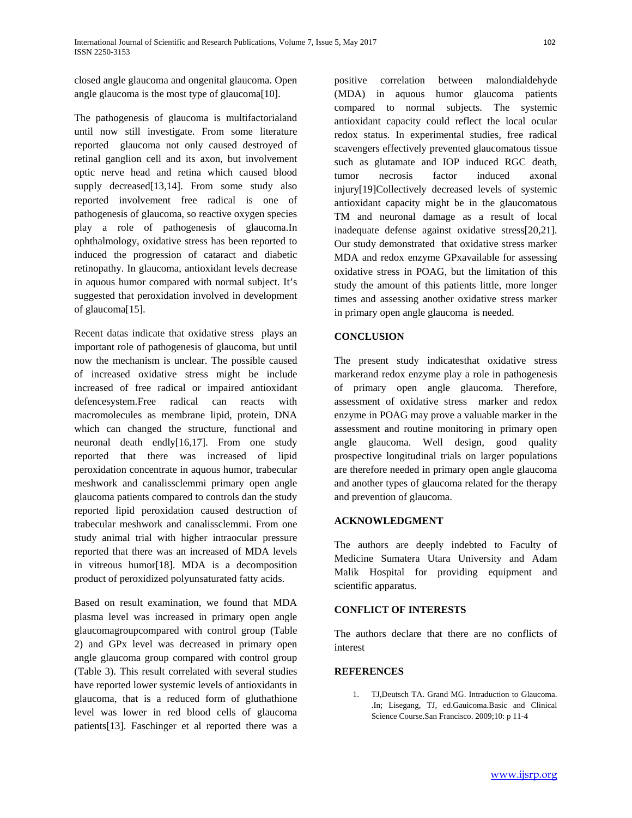closed angle glaucoma and ongenital glaucoma. Open angle glaucoma is the most type of glaucoma[10].

The pathogenesis of glaucoma is multifactorialand until now still investigate. From some literature reported glaucoma not only caused destroyed of retinal ganglion cell and its axon, but involvement optic nerve head and retina which caused blood supply decreased[13,14]. From some study also reported involvement free radical is one of pathogenesis of glaucoma, so reactive oxygen species play a role of pathogenesis of glaucoma.In ophthalmology, oxidative stress has been reported to induced the progression of cataract and diabetic retinopathy. In glaucoma, antioxidant levels decrease in aquous humor compared with normal subject. It's suggested that peroxidation involved in development of glaucoma[15].

Recent datas indicate that oxidative stress plays an important role of pathogenesis of glaucoma, but until now the mechanism is unclear. The possible caused of increased oxidative stress might be include increased of free radical or impaired antioxidant defencesystem.Free radical can reacts with macromolecules as membrane lipid, protein, DNA which can changed the structure, functional and neuronal death endly[16,17]. From one study reported that there was increased of lipid peroxidation concentrate in aquous humor, trabecular meshwork and canalissclemmi primary open angle glaucoma patients compared to controls dan the study reported lipid peroxidation caused destruction of trabecular meshwork and canalissclemmi. From one study animal trial with higher intraocular pressure reported that there was an increased of MDA levels in vitreous humor[18]. MDA is a decomposition product of peroxidized polyunsaturated fatty acids.

Based on result examination, we found that MDA plasma level was increased in primary open angle glaucomagroupcompared with control group (Table 2) and GPx level was decreased in primary open angle glaucoma group compared with control group (Table 3). This result correlated with several studies have reported lower systemic levels of antioxidants in glaucoma, that is a reduced form of gluthathione level was lower in red blood cells of glaucoma patients[13]. Faschinger et al reported there was a positive correlation between malondialdehyde (MDA) in aquous humor glaucoma patients compared to normal subjects. The systemic antioxidant capacity could reflect the local ocular redox status. In experimental studies, free radical scavengers effectively prevented glaucomatous tissue such as glutamate and IOP induced RGC death, tumor necrosis factor induced axonal injury[19]Collectively decreased levels of systemic antioxidant capacity might be in the glaucomatous TM and neuronal damage as a result of local inadequate defense against oxidative stress[20,21]. Our study demonstrated that oxidative stress marker MDA and redox enzyme GPxavailable for assessing oxidative stress in POAG, but the limitation of this study the amount of this patients little, more longer times and assessing another oxidative stress marker in primary open angle glaucoma is needed.

# **CONCLUSION**

The present study indicatesthat oxidative stress markerand redox enzyme play a role in pathogenesis of primary open angle glaucoma. Therefore, assessment of oxidative stress marker and redox enzyme in POAG may prove a valuable marker in the assessment and routine monitoring in primary open angle glaucoma. Well design, good quality prospective longitudinal trials on larger populations are therefore needed in primary open angle glaucoma and another types of glaucoma related for the therapy and prevention of glaucoma.

#### **ACKNOWLEDGMENT**

The authors are deeply indebted to Faculty of Medicine Sumatera Utara University and Adam Malik Hospital for providing equipment and scientific apparatus.

#### **CONFLICT OF INTERESTS**

The authors declare that there are no conflicts of interest

## **REFERENCES**

1. TJ,Deutsch TA. Grand MG. Intraduction to Glaucoma. .In; Lisegang, TJ, ed.Gauicoma.Basic and Clinical Science Course.San Francisco. 2009;10: p 11-4